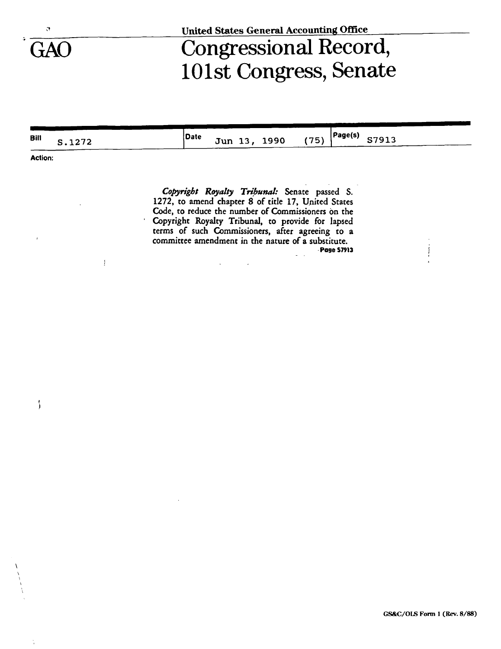$\overline{\phantom{a}}$ 

 $\frac{1}{4}$ 

 $\mathbf{1}$ 

## Congressional Record,<br>101st Congress, Senate

| Bill           | S.1272 | Page(s) <br> Date<br>S7913<br>(75)<br>Jun 13, 1990                                                      |
|----------------|--------|---------------------------------------------------------------------------------------------------------|
| <b>Action:</b> |        |                                                                                                         |
|                |        |                                                                                                         |
|                |        | Copyright Royalty Tribunal: Senate passed S.                                                            |
|                |        | 1272, to amend chapter 8 of title 17, United States                                                     |
|                |        | Code, to reduce the number of Commissioners on the<br>Copyright Royalty Tribunal, to provide for lapsed |
|                |        | terms of such Commissioners, after agreeing to a                                                        |

 $\mathcal{L}$ 

committee amendment in the nature of a substitute. Page 57913